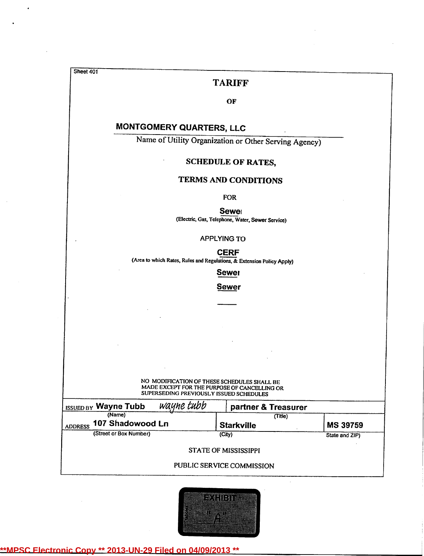\ Sheet 401

### TARIFF

### **OF**

# MONTGOMERY QUARTERS, LLC

Name of Utility Organization or Other Serving Agency)

### SCHEDULE OF RATES,

## TERMS AND CONDITIONS

FOR

Sewel

(Electric, Gas, Telephone, Water, Sewer Service)

APPLYlNG TO

**CERF** 

(Area to which Rates, Rules and Regulations,& Extension Policy Apply)

Sewer

**Sewer** 

NO MODIFICATION OF THESE SCHEDULES SHALL BE MADE EXCEPT FOR THE PURPOSEOF CANCELLING OR SUPERSEDING PREVIOUSLY ISSUED SCHEDULES

| wayne tubb<br><b>ISSUED BY Wayne Tubb</b>    | partner & Treasurer          |                 |
|----------------------------------------------|------------------------------|-----------------|
| (Name)<br>107 Shadowood Ln<br><b>ADDRESS</b> | (Title)<br><b>Starkville</b> | <b>MS 39759</b> |
| (Street or Box Number)                       | (City)                       | State and ZIP)  |
|                                              | <b>STATE OF MISSISSIPPI</b>  |                 |
|                                              | PUBLIC SERVICE COMMISSION    |                 |

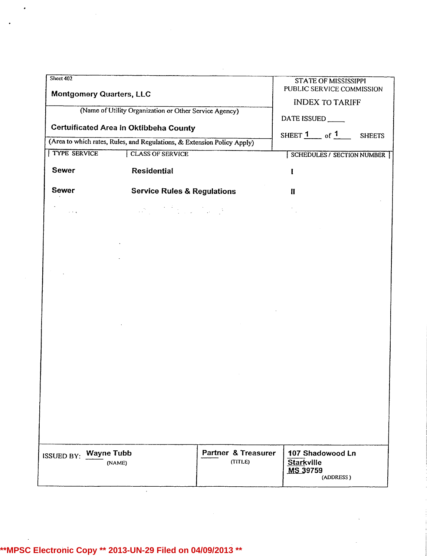| Sheet 402<br><b>Montgomery Quarters, LLC</b> |                                                                                                  |                                           | <b>STATE OF MISSISSIPPI</b>                       | PUBLIC SERVICE COMMISSION  |
|----------------------------------------------|--------------------------------------------------------------------------------------------------|-------------------------------------------|---------------------------------------------------|----------------------------|
|                                              | (Name of Utility Organization or Other Service Agency)<br>Certuificated Area in Oktibbeha County |                                           | <b>INDEX TO TARIFF</b><br>DATE ISSUED             |                            |
|                                              | (Area to which rates, Rules, and Regulations, & Extension Policy Apply)                          |                                           | SHEET $1$ of $1$                                  | <b>SHEETS</b>              |
| <b>TYPE SERVICE</b>                          | <b>CLASS OF SERVICE</b>                                                                          |                                           |                                                   | SCHEDULES / SECTION NUMBER |
| <b>Sewer</b>                                 | <b>Residential</b>                                                                               |                                           |                                                   |                            |
| <b>Sewer</b>                                 | <b>Service Rules &amp; Regulations</b>                                                           |                                           | Ħ                                                 |                            |
| $\cdots$                                     |                                                                                                  |                                           |                                                   |                            |
|                                              |                                                                                                  |                                           |                                                   |                            |
|                                              |                                                                                                  |                                           |                                                   |                            |
|                                              |                                                                                                  |                                           |                                                   |                            |
|                                              |                                                                                                  |                                           |                                                   |                            |
|                                              |                                                                                                  |                                           |                                                   |                            |
|                                              |                                                                                                  |                                           |                                                   |                            |
|                                              |                                                                                                  |                                           |                                                   |                            |
|                                              |                                                                                                  |                                           |                                                   |                            |
|                                              |                                                                                                  |                                           |                                                   |                            |
|                                              |                                                                                                  |                                           |                                                   |                            |
|                                              |                                                                                                  |                                           |                                                   |                            |
|                                              |                                                                                                  |                                           |                                                   |                            |
|                                              |                                                                                                  |                                           |                                                   |                            |
|                                              |                                                                                                  |                                           |                                                   |                            |
|                                              |                                                                                                  |                                           |                                                   |                            |
| <b>ISSUED BY: Wayne Tubb</b>                 | (NAME)                                                                                           | <b>Partner &amp; Treasurer</b><br>(TITLE) | 107 Shadowood Ln<br><b>Starkville</b><br>MS 39759 | (ADDRESS)                  |

 $\mathcal{L}^{\text{max}}_{\text{max}}$  and  $\mathcal{L}^{\text{max}}_{\text{max}}$ 

**\*\*MPSC Electronic Copy \*\* 2013-UN-29 Filed on 04/09/2013 \*\***

 $\mathcal{L}$ 

 $\ddot{\phantom{1}}$ 

 $\mathcal{A}^{\mathcal{A}}$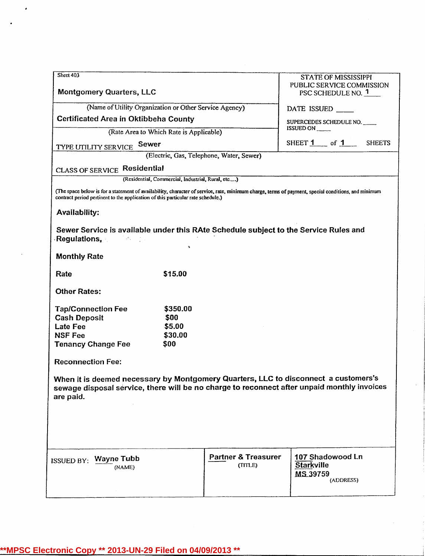| Sheet 403                                                                                                                                      |                                                   |                                           | <b>STATE OF MISSISSIPPI</b>                                                                                                                                                        |
|------------------------------------------------------------------------------------------------------------------------------------------------|---------------------------------------------------|-------------------------------------------|------------------------------------------------------------------------------------------------------------------------------------------------------------------------------------|
| <b>Montgomery Quarters, LLC</b>                                                                                                                |                                                   |                                           | PUBLIC SERVICE COMMISSION<br>PSC SCHEDULE NO. 1                                                                                                                                    |
| (Name of Utility Organization or Other Service Agency)                                                                                         |                                                   |                                           | DATE ISSUED                                                                                                                                                                        |
| Certificated Area in Oktibbeha County                                                                                                          |                                                   |                                           | SUPERCEDES SCHEDULE NO.                                                                                                                                                            |
|                                                                                                                                                | (Rate Area to Which Rate is Applicable)           |                                           | ISSUED ON                                                                                                                                                                          |
|                                                                                                                                                |                                                   |                                           | SHEET 1 of 1 SHEETS                                                                                                                                                                |
| <b>TYPE UTILITY SERVICE Sewer</b>                                                                                                              |                                                   | (Electric, Gas, Telephone, Water, Sewer)  |                                                                                                                                                                                    |
| <b>CLASS OF SERVICE Residential</b>                                                                                                            |                                                   |                                           |                                                                                                                                                                                    |
|                                                                                                                                                | (Residential, Commercial, Industrial, Rural, etc) |                                           |                                                                                                                                                                                    |
| contract period pertinent to the application of this particular rate schedule.)                                                                |                                                   |                                           | (The space below is for a statement of availability, character of service, rate, minimum charge, terms of payment, special conditions, and minimum                                 |
| <b>Availability:</b>                                                                                                                           |                                                   |                                           |                                                                                                                                                                                    |
| Sewer Service is available under this RAte Schedule subject to the Service Rules and<br><b>Regulations, All Accords</b><br><b>Monthly Rate</b> |                                                   |                                           |                                                                                                                                                                                    |
| Rate                                                                                                                                           | \$15.00                                           |                                           |                                                                                                                                                                                    |
| <b>Other Rates:</b>                                                                                                                            |                                                   |                                           |                                                                                                                                                                                    |
| <b>Tap/Connection Fee</b><br><b>Cash Deposit</b><br><b>Late Fee</b><br><b>NSF Fee</b><br><b>Tenancy Change Fee</b>                             | \$350.00<br>\$00<br>\$5.00<br>\$30.00<br>\$00     |                                           |                                                                                                                                                                                    |
| <b>Reconnection Fee:</b>                                                                                                                       |                                                   |                                           |                                                                                                                                                                                    |
| are paid.                                                                                                                                      |                                                   |                                           | When it is deemed necessary by Montgomery Quarters, LLC to disconnect a customers's<br>sewage disposal service, there will be no charge to reconnect after unpaid monthly invoices |
| ISSUED BY: Wayne Tubb<br>(NAME)                                                                                                                |                                                   | <b>Partner &amp; Treasurer</b><br>(TITLE) | 107 Shadowood Ln<br><b>Starkville</b><br>MS 39759<br>(ADDRESS)                                                                                                                     |
|                                                                                                                                                |                                                   |                                           |                                                                                                                                                                                    |

 $\bullet$